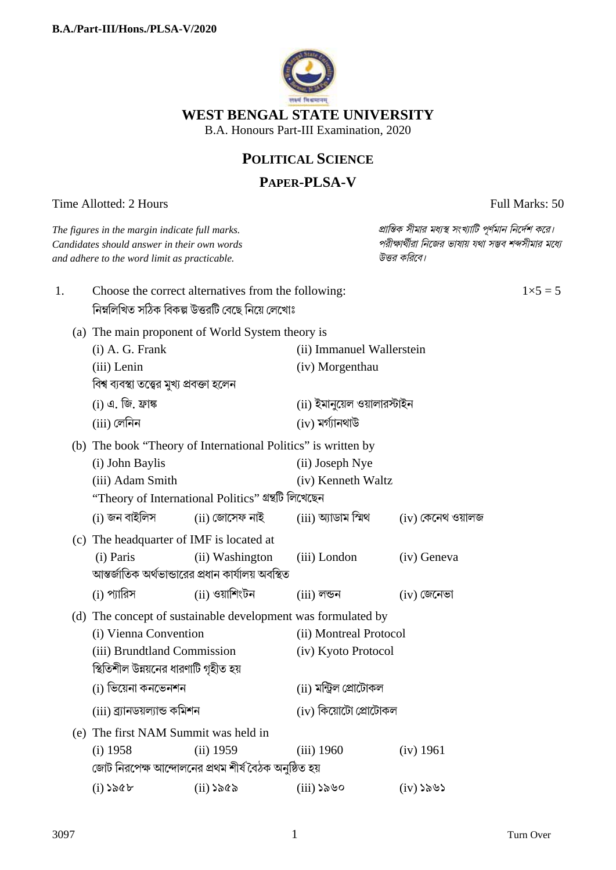

# **POLITICAL SCIENCE**

# **PAPER-PLSA-V**

Time Allotted: 2 Hours Full Marks: 50

| The figures in the margin indicate full marks.<br>Candidates should answer in their own words<br>and adhere to the word limit as practicable.                 |                                                                                                                                                               |                                                                        |                                                    | প্রান্তিক সীমার মধ্যস্থ সংখ্যাটি পূর্ণমান নির্দেশ করে।<br>পরীক্ষার্থীরা নিজের ভাষায় যথা সম্ভব শব্দসীমার মধ্যে<br>উত্তর করিবে। |  |
|---------------------------------------------------------------------------------------------------------------------------------------------------------------|---------------------------------------------------------------------------------------------------------------------------------------------------------------|------------------------------------------------------------------------|----------------------------------------------------|--------------------------------------------------------------------------------------------------------------------------------|--|
| 1.                                                                                                                                                            | Choose the correct alternatives from the following:<br>নিম্নলিখিত সঠিক বিকল্প উত্তরটি বেছে নিয়ে লেখোঃ                                                        |                                                                        |                                                    | $1 \times 5 = 5$                                                                                                               |  |
|                                                                                                                                                               | (a) The main proponent of World System theory is<br>$(i)$ A. G. Frank<br>(iii) Lenin<br>বিশ্ব ব্যবস্থা তত্ত্বের মুখ্য প্রবক্তা হলেন                           |                                                                        | (ii) Immanuel Wallerstein<br>(iv) Morgenthau       |                                                                                                                                |  |
|                                                                                                                                                               | (i) এ. জি. ফ্ৰাঙ্ক<br>(iii) লেনিন                                                                                                                             |                                                                        | (ii) ইমানুয়েল ওয়ালারস্টাইন<br>$(iv)$ মৰ্গ্যানথাউ |                                                                                                                                |  |
|                                                                                                                                                               | (b) The book "Theory of International Politics" is written by<br>(i) John Baylis<br>(iii) Adam Smith<br>''Theory of International Politics'' গ্ৰন্থটি লিখেছেন |                                                                        | (ii) Joseph Nye<br>(iv) Kenneth Waltz              |                                                                                                                                |  |
|                                                                                                                                                               | (i) জন বাইলিস<br>(c) The headquarter of IMF is located at<br>(i) Paris                                                                                        | (ii) জোসেফ নাই<br>(ii) Washington                                      | (iii) অ্যাডাম স্মিথ<br>(iii) London                | $(iv)$ কেনেথ ওয়ালজ<br>(iv) Geneva                                                                                             |  |
|                                                                                                                                                               | (i) প্যারিস                                                                                                                                                   | আন্তর্জাতিক অর্থভান্ডারের প্রধান কার্যালয় অবস্থিত<br>$(ii)$ ওয়াশিংটন | $(iii)$ লন্ডন                                      | $(iv)$ জেনেভা                                                                                                                  |  |
| (d) The concept of sustainable development was formulated by<br>(i) Vienna Convention<br>(iii) Brundtland Commission<br>স্থিতিশীল উন্নয়নের ধারণাটি গৃহীত হয় |                                                                                                                                                               |                                                                        | (ii) Montreal Protocol<br>(iv) Kyoto Protocol      |                                                                                                                                |  |
|                                                                                                                                                               | (i) ভিয়েনা কনভেনশন<br>(iii) ব্ৰ্যানডয়ল্যান্ড কমিশন                                                                                                          |                                                                        |                                                    | (ii) মন্ট্ৰিল প্ৰোটোকল<br>(iv) কিয়োটো প্ৰোটোকল                                                                                |  |
| (e)                                                                                                                                                           | The first NAM Summit was held in<br>$(i)$ 1958                                                                                                                | $(ii)$ 1959<br>জোট নিরপেক্ষ আন্দোলনের প্রথম শীর্ষ বৈঠক অনুষ্ঠিত হয়    | $(iii)$ 1960                                       | (iv) 1961                                                                                                                      |  |
|                                                                                                                                                               | $(i)$ ১৯৫৮                                                                                                                                                    | $(ii)$ ১৯৫৯                                                            | $(iii)$ ১৯৬০                                       | $(iv)$ ১৯৬১                                                                                                                    |  |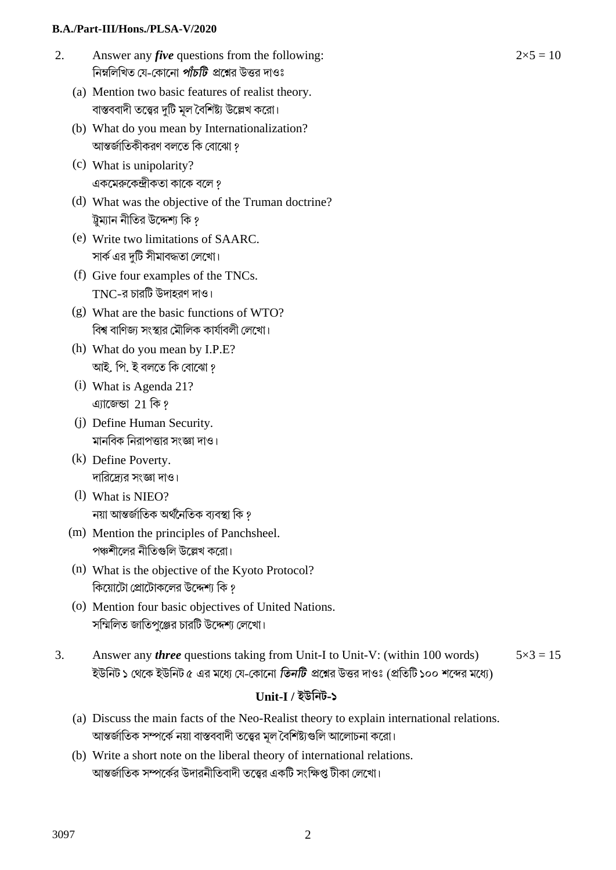#### **B.A./Part-III/Hons./PLSA-V/2020**

- 2. Answer any *five* questions from the following: নিম্নলিখিত যে-কোনো *পাঁচটি প্র*শ্নের উত্তর দাওঃ
	- (a) Mention two basic features of realist theory. বাস্তববাদী তত্ত্বের দুটি মূল বৈশিষ্ট্য উল্লেখ করো।
	- (b) What do you mean by Internationalization? আন্তর্জাতিকীকরণ বলতে কি বোঝো ?
	- (c) What is unipolarity? একমেরুকেন্দ্রীকতা কাকে বলে ?
	- (d) What was the objective of the Truman doctrine? ট্রম্যান নীতির উদ্দেশ্য কি ?
	- (e) Write two limitations of SAARC. সার্ক এর দটি সীমাবদ্ধতা লেখো।
	- (f) Give four examples of the TNCs.  $TNC$ -র চারটি উদাহরণ দাও।
	- (g) What are the basic functions of WTO? বিশ্ব বাণিজ্য সংস্থার মৌলিক কার্যাবলী লেখো।
	- (h) What do you mean by I.P.E? আই. পি. ই বলতে কি বোঝো ?
	- (i) What is Agenda 21? এ্যাজেন্ডা 21 কি?
	- (j) Define Human Security. মানবিক নিরাপত্তার সংজ্ঞা দাও।
	- (k) Define Poverty. দারিদ্রোর সংজ্ঞা দাও।
	- (l) What is NIEO? নয়া আন্তর্জাতিক অর্থনৈতিক ব্যবস্থা কি *?*
	- (m) Mention the principles of Panchsheel. পঞ্চশীলের নীতিগুলি উল্লেখ করো।
	- (n) What is the objective of the Kyoto Protocol? কিয়ােটাে প্রোটােকলের উদ্দেশ্য কি ?
	- (o) Mention four basic objectives of United Nations. সম্মিলিত জাতিপুঞ্জের চারটি উদ্দেশ্য লেখাে।
- 3. Answer any *three* questions taking from Unit-I to Unit-V: (within 100 words) ইউনিট ১ থেকে ইউনিট ৫ এর মধ্যে যে-কোনো *তিনটি প্র*শ্নের উত্তর দাওঃ (প্রতিটি ১০০ শব্দের মধ্যে)  $5 \times 3 = 15$

#### **Unit-I / ইউিনট-১**

- (a) Discuss the main facts of the Neo-Realist theory to explain international relations. আন্তর্জাতিক সম্পর্কে নয়া বাস্তববাদী তত্ত্বের মূল বৈশিষ্ট্যগুলি আলোচনা করো।
- (b) Write a short note on the liberal theory of international relations. আন্তর্জাতিক সম্পর্কের উদারনীতিবাদী তত্ত্বের একটি সংক্ষিপ্ত টীকা লেখো।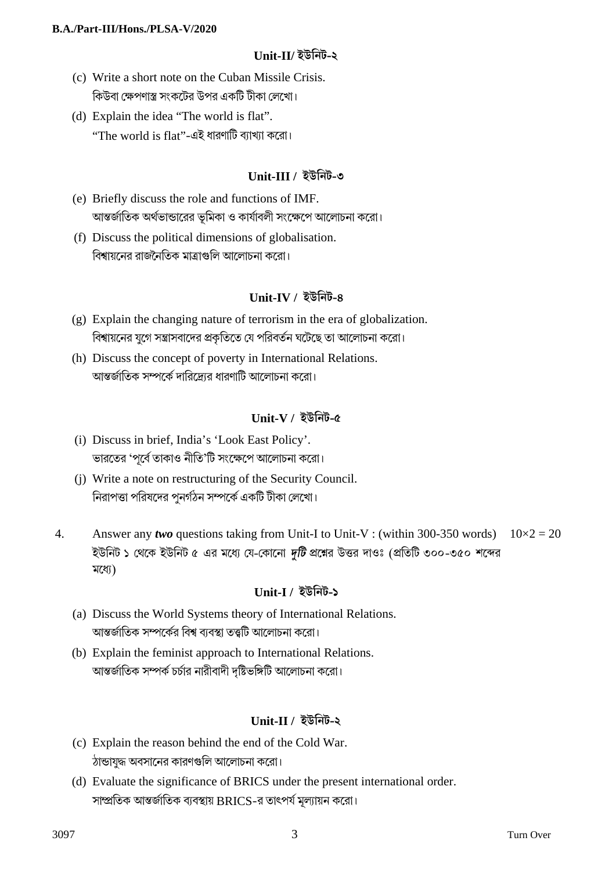#### **Unit-II/ ইউিনট-২**

- (c) Write a short note on the Cuban Missile Crisis. িকউবা েkপণাst সংকেটর উপর একিট টীকা েলেখা।
- (d) Explain the idea "The world is flat".  $\lq$ 'The world is flat''-এই ধারণাটি ব্যাখ্যা করো।

### **Unit-III / ইউিনট-৩**

- (e) Briefly discuss the role and functions of IMF. আন্তর্জাতিক অর্থভান্ডারের ভূমিকা ও কার্যাবলী সংক্ষেপে আলোচনা করো।
- (f) Discuss the political dimensions of globalisation. বিশ্বায়নের রাজনৈতিক মাত্রাগুলি আলোচনা করো।

### **Unit-IV / ইউিনট-৪**

- (g) Explain the changing nature of terrorism in the era of globalization. বিশ্বায়নের যুগে সন্ত্রাসবাদের প্রকৃতিতে যে পরিবর্তন ঘটেছে তা আলোচনা করো।
- (h) Discuss the concept of poverty in International Relations. আন্তর্জাতিক সম্পর্কে দারিদ্রোর ধারণাটি আলোচনা করো।

### **Unit-V / ইউিনট-৫**

- (i) Discuss in brief, India's 'Look East Policy'. ভারতের 'পূর্বে তাকাও নীতি'টি সংক্ষেপে আলোচনা করো।
- (j) Write a note on restructuring of the Security Council. নিরাপত্তা পরিষদের পুনর্গঠন সম্পর্কে একটি টীকা লেখো।
- 4. Answer any *two* questions taking from Unit-I to Unit-V : (within 300-350 words) ইউনিট ১ থেকে ইউনিট ৫ এর মধ্যে যে-কোনো *দটি* প্রশ্নের উত্তর দাওঃ (প্রতিটি ৩০০-৩৫০ শব্দের মধ্যে)  $10\times2 = 20$

# **Unit-I / ইউিনট-১**

- (a) Discuss the World Systems theory of International Relations. আন্তর্জাতিক সম্পর্কের বিশ্ব ব্যবস্থা তত্ত্বটি আলোচনা করো।
- (b) Explain the feminist approach to International Relations. আন্তর্জাতিক সম্পর্ক চর্চার নারীবাদী দৃষ্টিভঙ্গিটি আলোচনা করো।

# **Unit-II / ইউিনট-২**

- (c) Explain the reason behind the end of the Cold War. ঠান্ডাযুদ্ধ অবসানের কারণগুলি আলোচনা করো।
- (d) Evaluate the significance of BRICS under the present international order. সাম্প্রতিক আন্তর্জাতিক ব্যবস্থায় BRICS-র তাৎপর্য মূল্যায়ন করো।